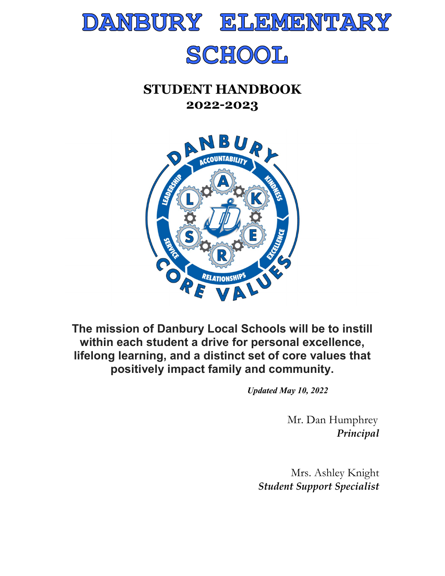

# SCHOOL

## **STUDENT HANDBOOK 2022-2023**



**The mission of Danbury Local Schools will be to instill within each student a drive for personal excellence, lifelong learning, and a distinct set of core values that positively impact family and community.**

*Updated May 10, 2022*

 Mr. Dan Humphrey *Principal* 

Mrs. Ashley Knight *Student Support Specialist*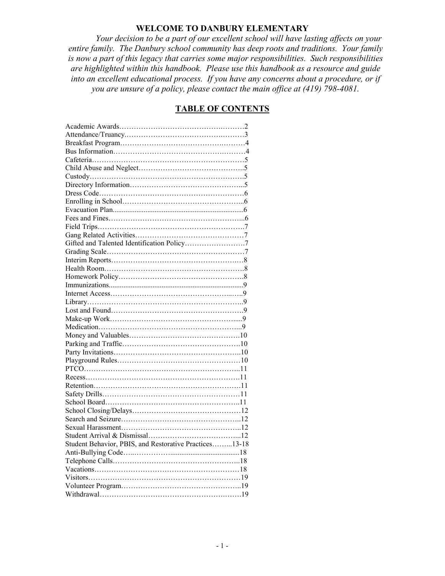## **WELCOME TO DANBURY ELEMENTARY**

*Your decision to be a part of our excellent school will have lasting affects on your entire family. The Danbury school community has deep roots and traditions. Your family is now a part of this legacy that carries some major responsibilities. Such responsibilities are highlighted within this handbook. Please use this handbook as a resource and guide into an excellent educational process. If you have any concerns about a procedure, or if you are unsure of a policy, please contact the main office at (419) 798-4081.* 

## **TABLE OF CONTENTS**

| Gifted and Talented Identification Policy7             |
|--------------------------------------------------------|
|                                                        |
|                                                        |
|                                                        |
|                                                        |
|                                                        |
|                                                        |
|                                                        |
|                                                        |
|                                                        |
|                                                        |
|                                                        |
|                                                        |
|                                                        |
|                                                        |
|                                                        |
|                                                        |
|                                                        |
|                                                        |
|                                                        |
|                                                        |
|                                                        |
|                                                        |
|                                                        |
| Student Behavior, PBIS, and Restorative Practices13-18 |
|                                                        |
|                                                        |
|                                                        |
|                                                        |
|                                                        |
|                                                        |
|                                                        |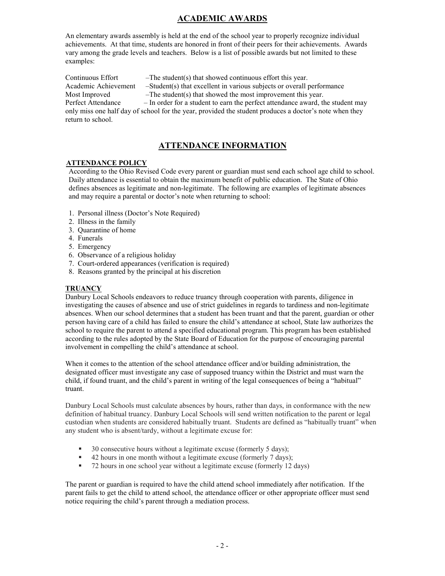## **ACADEMIC AWARDS**

An elementary awards assembly is held at the end of the school year to properly recognize individual achievements. At that time, students are honored in front of their peers for their achievements. Awards vary among the grade levels and teachers. Below is a list of possible awards but not limited to these examples:

Continuous Effort  $-$ The student(s) that showed continuous effort this year. Academic Achievement  $\quad -Student(s)$  that excellent in various subjects or overall performance Most Improved  $\qquad -$ The student(s) that showed the most improvement this year. Perfect Attendance – In order for a student to earn the perfect attendance award, the student may only miss one half day of school for the year, provided the student produces a doctor's note when they return to school.

## **ATTENDANCE INFORMATION**

#### **ATTENDANCE POLICY**

According to the Ohio Revised Code every parent or guardian must send each school age child to school. Daily attendance is essential to obtain the maximum benefit of public education. The State of Ohio defines absences as legitimate and non-legitimate. The following are examples of legitimate absences and may require a parental or doctor's note when returning to school:

- 1. Personal illness (Doctor's Note Required)
- 2. Illness in the family
- 3. Quarantine of home
- 4. Funerals
- 5. Emergency
- 6. Observance of a religious holiday
- 7. Court-ordered appearances (verification is required)
- 8. Reasons granted by the principal at his discretion

#### **TRUANCY**

Danbury Local Schools endeavors to reduce truancy through cooperation with parents, diligence in investigating the causes of absence and use of strict guidelines in regards to tardiness and non-legitimate absences. When our school determines that a student has been truant and that the parent, guardian or other person having care of a child has failed to ensure the child's attendance at school, State law authorizes the school to require the parent to attend a specified educational program. This program has been established according to the rules adopted by the State Board of Education for the purpose of encouraging parental involvement in compelling the child's attendance at school.

When it comes to the attention of the school attendance officer and/or building administration, the designated officer must investigate any case of supposed truancy within the District and must warn the child, if found truant, and the child's parent in writing of the legal consequences of being a "habitual" truant.

Danbury Local Schools must calculate absences by hours, rather than days, in conformance with the new definition of habitual truancy. Danbury Local Schools will send written notification to the parent or legal custodian when students are considered habitually truant. Students are defined as "habitually truant" when any student who is absent/tardy, without a legitimate excuse for:

- <sup>30</sup> consecutive hours without a legitimate excuse (formerly 5 days):
- 42 hours in one month without a legitimate excuse (formerly 7 days);
- 72 hours in one school year without a legitimate excuse (formerly 12 days)

The parent or guardian is required to have the child attend school immediately after notification. If the parent fails to get the child to attend school, the attendance officer or other appropriate officer must send notice requiring the child's parent through a mediation process.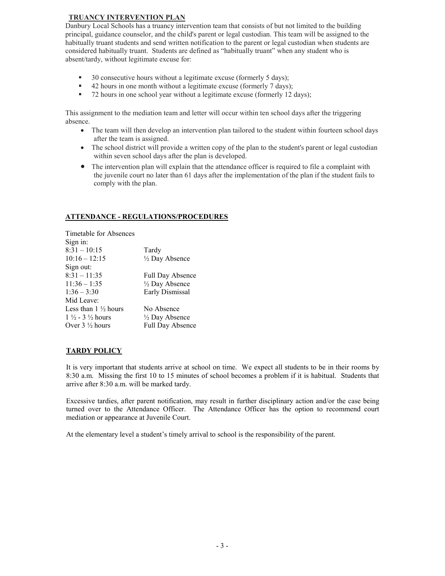#### **TRUANCY INTERVENTION PLAN**

Danbury Local Schools has a truancy intervention team that consists of but not limited to the building principal, guidance counselor, and the child's parent or legal custodian. This team will be assigned to the habitually truant students and send written notification to the parent or legal custodian when students are considered habitually truant. Students are defined as "habitually truant" when any student who is absent/tardy, without legitimate excuse for:

- $\blacksquare$  30 consecutive hours without a legitimate excuse (formerly 5 days);
- 42 hours in one month without a legitimate excuse (formerly 7 days);
- 72 hours in one school year without a legitimate excuse (formerly 12 days);

This assignment to the mediation team and letter will occur within ten school days after the triggering absence.

- The team will then develop an intervention plan tailored to the student within fourteen school days after the team is assigned.
- The school district will provide a written copy of the plan to the student's parent or legal custodian within seven school days after the plan is developed.
- The intervention plan will explain that the attendance officer is required to file a complaint with the juvenile court no later than 61 days after the implementation of the plan if the student fails to comply with the plan.

#### **ATTENDANCE - REGULATIONS/PROCEDURES**

| Tardy                     |
|---------------------------|
| $\frac{1}{2}$ Day Absence |
|                           |
| <b>Full Day Absence</b>   |
| $\frac{1}{2}$ Day Absence |
| Early Dismissal           |
|                           |
| No Absence                |
| 1/2 Day Absence           |
| <b>Full Day Absence</b>   |
|                           |

## **TARDY POLICY**

It is very important that students arrive at school on time. We expect all students to be in their rooms by 8:30 a.m. Missing the first 10 to 15 minutes of school becomes a problem if it is habitual. Students that arrive after 8:30 a.m. will be marked tardy.

Excessive tardies, after parent notification, may result in further disciplinary action and/or the case being turned over to the Attendance Officer. The Attendance Officer has the option to recommend court mediation or appearance at Juvenile Court.

At the elementary level a student's timely arrival to school is the responsibility of the parent.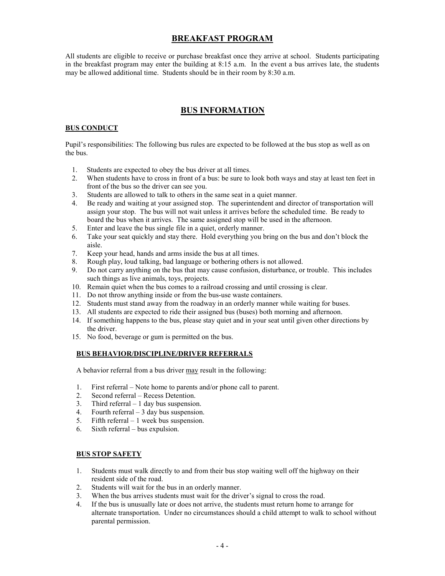## **BREAKFAST PROGRAM**

All students are eligible to receive or purchase breakfast once they arrive at school. Students participating in the breakfast program may enter the building at 8:15 a.m. In the event a bus arrives late, the students may be allowed additional time. Students should be in their room by 8:30 a.m.

## **BUS INFORMATION**

### **BUS CONDUCT**

Pupil's responsibilities: The following bus rules are expected to be followed at the bus stop as well as on the bus.

- 1. Students are expected to obey the bus driver at all times.
- 2. When students have to cross in front of a bus: be sure to look both ways and stay at least ten feet in front of the bus so the driver can see you.
- 3. Students are allowed to talk to others in the same seat in a quiet manner.
- 4. Be ready and waiting at your assigned stop. The superintendent and director of transportation will assign your stop. The bus will not wait unless it arrives before the scheduled time. Be ready to board the bus when it arrives. The same assigned stop will be used in the afternoon.
- 5. Enter and leave the bus single file in a quiet, orderly manner.
- 6. Take your seat quickly and stay there. Hold everything you bring on the bus and don't block the aisle.
- 7. Keep your head, hands and arms inside the bus at all times.
- 8. Rough play, loud talking, bad language or bothering others is not allowed.
- 9. Do not carry anything on the bus that may cause confusion, disturbance, or trouble. This includes such things as live animals, toys, projects.
- 10. Remain quiet when the bus comes to a railroad crossing and until crossing is clear.
- 11. Do not throw anything inside or from the bus-use waste containers.
- 12. Students must stand away from the roadway in an orderly manner while waiting for buses.
- 13. All students are expected to ride their assigned bus (buses) both morning and afternoon.
- 14. If something happens to the bus, please stay quiet and in your seat until given other directions by the driver.
- 15. No food, beverage or gum is permitted on the bus.

## **BUS BEHAVIOR/DISCIPLINE/DRIVER REFERRALS**

A behavior referral from a bus driver may result in the following:

- 1. First referral Note home to parents and/or phone call to parent.
- 2. Second referral Recess Detention.
- 3. Third referral  $-1$  day bus suspension.
- 4. Fourth referral  $-3$  day bus suspension.
- 5. Fifth referral 1 week bus suspension.
- 6. Sixth referral bus expulsion.

## **BUS STOP SAFETY**

- 1. Students must walk directly to and from their bus stop waiting well off the highway on their resident side of the road.
- 2. Students will wait for the bus in an orderly manner.
- 3. When the bus arrives students must wait for the driver's signal to cross the road.
- 4. If the bus is unusually late or does not arrive, the students must return home to arrange for alternate transportation. Under no circumstances should a child attempt to walk to school without parental permission.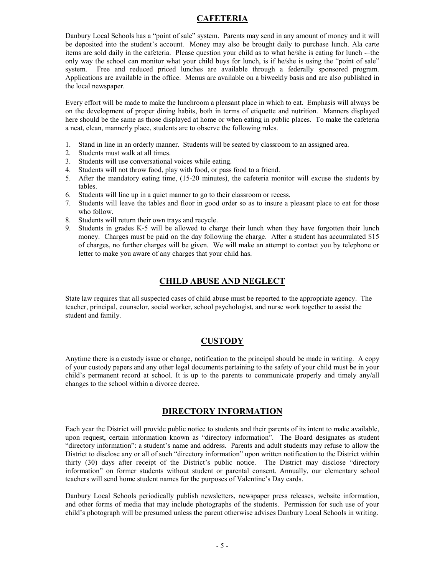## **CAFETERIA**

Danbury Local Schools has a "point of sale" system. Parents may send in any amount of money and it will be deposited into the student's account. Money may also be brought daily to purchase lunch. Ala carte items are sold daily in the cafeteria. Please question your child as to what he/she is eating for lunch -–the only way the school can monitor what your child buys for lunch, is if he/she is using the "point of sale" system. Free and reduced priced lunches are available through a federally sponsored program. Applications are available in the office. Menus are available on a biweekly basis and are also published in the local newspaper.

Every effort will be made to make the lunchroom a pleasant place in which to eat. Emphasis will always be on the development of proper dining habits, both in terms of etiquette and nutrition. Manners displayed here should be the same as those displayed at home or when eating in public places. To make the cafeteria a neat, clean, mannerly place, students are to observe the following rules.

- 1. Stand in line in an orderly manner. Students will be seated by classroom to an assigned area.
- 2. Students must walk at all times.
- 3. Students will use conversational voices while eating.
- 4. Students will not throw food, play with food, or pass food to a friend.
- 5. After the mandatory eating time, (15-20 minutes), the cafeteria monitor will excuse the students by tables.
- 6. Students will line up in a quiet manner to go to their classroom or recess.
- 7. Students will leave the tables and floor in good order so as to insure a pleasant place to eat for those who follow.
- 8. Students will return their own trays and recycle.
- 9. Students in grades K-5 will be allowed to charge their lunch when they have forgotten their lunch money. Charges must be paid on the day following the charge. After a student has accumulated \$15 of charges, no further charges will be given. We will make an attempt to contact you by telephone or letter to make you aware of any charges that your child has.

## **CHILD ABUSE AND NEGLECT**

State law requires that all suspected cases of child abuse must be reported to the appropriate agency. The teacher, principal, counselor, social worker, school psychologist, and nurse work together to assist the student and family.

## **CUSTODY**

Anytime there is a custody issue or change, notification to the principal should be made in writing. A copy of your custody papers and any other legal documents pertaining to the safety of your child must be in your child's permanent record at school. It is up to the parents to communicate properly and timely any/all changes to the school within a divorce decree.

## **DIRECTORY INFORMATION**

Each year the District will provide public notice to students and their parents of its intent to make available, upon request, certain information known as "directory information". The Board designates as student "directory information": a student's name and address. Parents and adult students may refuse to allow the District to disclose any or all of such "directory information" upon written notification to the District within thirty (30) days after receipt of the District's public notice. The District may disclose "directory information" on former students without student or parental consent. Annually, our elementary school teachers will send home student names for the purposes of Valentine's Day cards.

Danbury Local Schools periodically publish newsletters, newspaper press releases, website information, and other forms of media that may include photographs of the students. Permission for such use of your child's photograph will be presumed unless the parent otherwise advises Danbury Local Schools in writing.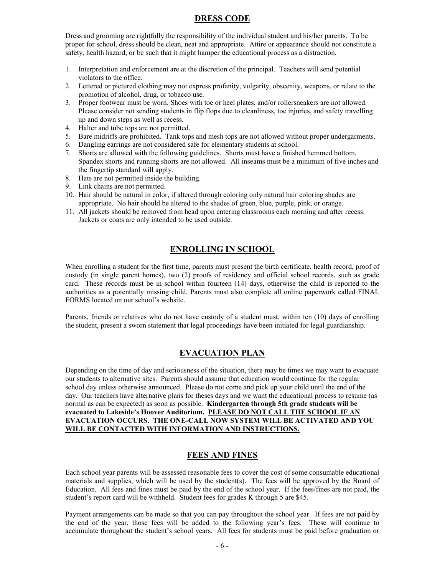## **DRESS CODE**

Dress and grooming are rightfully the responsibility of the individual student and his/her parents. To be proper for school, dress should be clean, neat and appropriate. Attire or appearance should not constitute a safety, health hazard, or be such that it might hamper the educational process as a distraction.

- 1. Interpretation and enforcement are at the discretion of the principal. Teachers will send potential violators to the office.
- 2. Lettered or pictured clothing may not express profanity, vulgarity, obscenity, weapons, or relate to the promotion of alcohol, drug, or tobacco use.
- 3. Proper footwear must be worn. Shoes with toe or heel plates, and/or rollersneakers are not allowed. Please consider not sending students in flip flops due to cleanliness, toe injuries, and safety travelling up and down steps as well as recess.
- 4. Halter and tube tops are not permitted.
- 5. Bare midriffs are prohibited. Tank tops and mesh tops are not allowed without proper undergarments.
- 6. Dangling earrings are not considered safe for elementary students at school.
- 7. Shorts are allowed with the following guidelines. Shorts must have a finished hemmed bottom. Spandex shorts and running shorts are not allowed. All inseams must be a minimum of five inches and the fingertip standard will apply.
- 8. Hats are not permitted inside the building.
- 9. Link chains are not permitted.
- 10. Hair should be natural in color, if altered through coloring only natural hair coloring shades are appropriate. No hair should be altered to the shades of green, blue, purple, pink, or orange.
- 11. All jackets should be removed from head upon entering classrooms each morning and after recess. Jackets or coats are only intended to be used outside.

## **ENROLLING IN SCHOOL**

When enrolling a student for the first time, parents must present the birth certificate, health record, proof of custody (in single parent homes), two (2) proofs of residency and official school records, such as grade card. These records must be in school within fourteen (14) days, otherwise the child is reported to the authorities as a potentially missing child. Parents must also complete all online paperwork called FINAL FORMS located on our school's website.

Parents, friends or relatives who do not have custody of a student must, within ten (10) days of enrolling the student, present a sworn statement that legal proceedings have been initiated for legal guardianship.

## **EVACUATION PLAN**

Depending on the time of day and seriousness of the situation, there may be times we may want to evacuate our students to alternative sites. Parents should assume that education would continue for the regular school day unless otherwise announced. Please do not come and pick up your child until the end of the day. Our teachers have alternative plans for theses days and we want the educational process to resume (as normal as can be expected) as soon as possible. **Kindergarten through 5th grade students will be evacuated to Lakeside's Hoover Auditorium. PLEASE DO NOT CALL THE SCHOOL IF AN EVACUATION OCCURS. THE ONE-CALL NOW SYSTEM WILL BE ACTIVATED AND YOU WILL BE CONTACTED WITH INFORMATION AND INSTRUCTIONS.**

## **FEES AND FINES**

Each school year parents will be assessed reasonable fees to cover the cost of some consumable educational materials and supplies, which will be used by the student(s). The fees will be approved by the Board of Education. All fees and fines must be paid by the end of the school year. If the fees/fines are not paid, the student's report card will be withheld. Student fees for grades K through 5 are \$45.

Payment arrangements can be made so that you can pay throughout the school year. If fees are not paid by the end of the year, those fees will be added to the following year's fees. These will continue to accumulate throughout the student's school years. All fees for students must be paid before graduation or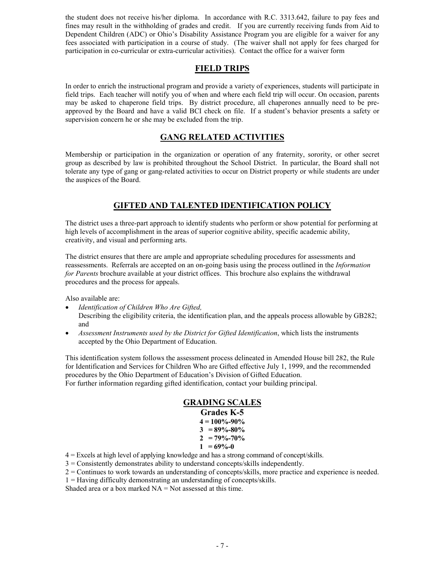the student does not receive his/her diploma. In accordance with R.C. 3313.642, failure to pay fees and fines may result in the withholding of grades and credit. If you are currently receiving funds from Aid to Dependent Children (ADC) or Ohio's Disability Assistance Program you are eligible for a waiver for any fees associated with participation in a course of study. (The waiver shall not apply for fees charged for participation in co-curricular or extra-curricular activities). Contact the office for a waiver form

## **FIELD TRIPS**

In order to enrich the instructional program and provide a variety of experiences, students will participate in field trips. Each teacher will notify you of when and where each field trip will occur. On occasion, parents may be asked to chaperone field trips. By district procedure, all chaperones annually need to be preapproved by the Board and have a valid BCI check on file. If a student's behavior presents a safety or supervision concern he or she may be excluded from the trip.

## **GANG RELATED ACTIVITIES**

Membership or participation in the organization or operation of any fraternity, sorority, or other secret group as described by law is prohibited throughout the School District. In particular, the Board shall not tolerate any type of gang or gang-related activities to occur on District property or while students are under the auspices of the Board.

## **GIFTED AND TALENTED IDENTIFICATION POLICY**

The district uses a three-part approach to identify students who perform or show potential for performing at high levels of accomplishment in the areas of superior cognitive ability, specific academic ability, creativity, and visual and performing arts.

The district ensures that there are ample and appropriate scheduling procedures for assessments and reassessments. Referrals are accepted on an on-going basis using the process outlined in the *Information for Parents* brochure available at your district offices. This brochure also explains the withdrawal procedures and the process for appeals.

Also available are:

- *Identification of Children Who Are Gifted,*
- Describing the eligibility criteria, the identification plan, and the appeals process allowable by GB282; and
- *Assessment Instruments used by the District for Gifted Identification*, which lists the instruments accepted by the Ohio Department of Education.

This identification system follows the assessment process delineated in Amended House bill 282, the Rule for Identification and Services for Children Who are Gifted effective July 1, 1999, and the recommended procedures by the Ohio Department of Education's Division of Gifted Education. For further information regarding gifted identification, contact your building principal.

## **GRADING SCALES**

| Grades K-5         |
|--------------------|
| $4 = 100\% - 90\%$ |
| $3 = 89\% - 80\%$  |
| $2 = 79\% - 70\%$  |
| $1 = 69\% - 0$     |

4 = Excels at high level of applying knowledge and has a strong command of concept/skills.

3 = Consistently demonstrates ability to understand concepts/skills independently.

- 2 = Continues to work towards an understanding of concepts/skills, more practice and experience is needed.
- 1 = Having difficulty demonstrating an understanding of concepts/skills.

Shaded area or a box marked  $NA = Not$  assessed at this time.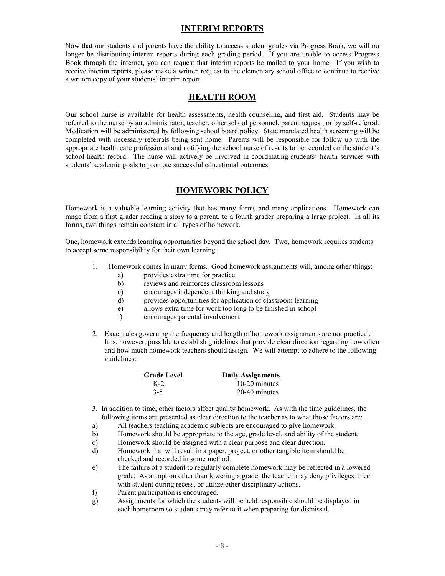## **INTERIM REPORTS**

Now that our students and parents have the ability to access student grades via Progress Book, we will no longer be distributing interim reports during each grading period. If you are unable to access Progress Book through the internet, you can request that interim reports be mailed to your home. If you wish to receive interim reports, please make a written request to the elementary school office to continue to receive a written copy of your students' interim report.

#### **HEALTH ROOM**

Our school nurse is available for health assessments, health counseling, and first aid. Students may be referred to the nurse by an administrator, teacher, other school personnel, parent request, or by self-referral. Medication will be administered by following school board policy. State mandated health screening will be completed with necessary referrals being sent home. Parents will be responsible for follow up with the appropriate health care professional and notifying the school nurse of results to be recorded on the student's school health record. The nurse will actively be involved in coordinating students' health services with students' academic goals to promote successful educational outcomes.

#### **HOMEWORK POLICY**

Homework is a valuable learning activity that has many forms and many applications. Homework can range from a first grader reading a story to a parent, to a fourth grader preparing a large project. In all its forms, two things remain constant in all types of homework.

One, homework extends learning opportunities beyond the school day. Two, homework requires students to accept some responsibility for their own learning.

- 1. Homework comes in many forms. Good homework assignments will, among other things:
	- a) provides extra time for practice
	- b) reviews and reinforces classroom lessons
	- c) encourages independent thinking and study
	- d) provides opportunities for application of classroom learning
	- e) allows extra time for work too long to be finished in school
	- f) encourages parental involvement
- 2. Exact rules governing the frequency and length of homework assignments are not practical. It is, however, possible to establish guidelines that provide clear direction regarding how often and how much homework teachers should assign. We will attempt to adhere to the following guidelines:

| <b>Grade Level</b> | <b>Daily Assignments</b> |
|--------------------|--------------------------|
| $K-2$              | $10-20$ minutes          |
| $3-5$              | 20-40 minutes            |

- 3. In addition to time, other factors affect quality homework. As with the time guidelines, the following items are presented as clear direction to the teacher as to what those factors are:
- a) All teachers teaching academic subjects are encouraged to give homework.
- b) Homework should be appropriate to the age, grade level, and ability of the student.
- c) Homework should be assigned with a clear purpose and clear direction.
- d) Homework that will result in a paper, project, or other tangible item should be checked and recorded in some method.
- e) The failure of a student to regularly complete homework may be reflected in a lowered grade. As an option other than lowering a grade, the teacher may deny privileges: meet with student during recess, or utilize other disciplinary actions.<br>
f) Parent participation is encouraged.
- Parent participation is encouraged.
- g) Assignments for which the students will be held responsible should be displayed in each homeroom so students may refer to it when preparing for dismissal.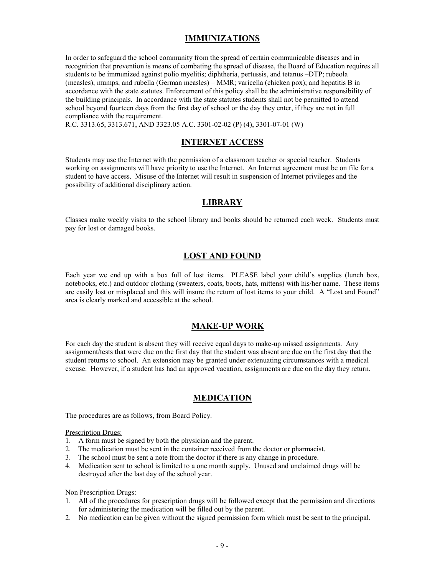## **IMMUNIZATIONS**

In order to safeguard the school community from the spread of certain communicable diseases and in recognition that prevention is means of combating the spread of disease, the Board of Education requires all students to be immunized against polio myelitis; diphtheria, pertussis, and tetanus –DTP; rubeola (measles), mumps, and rubella (German measles) – MMR; varicella (chicken pox); and hepatitis B in accordance with the state statutes. Enforcement of this policy shall be the administrative responsibility of the building principals. In accordance with the state statutes students shall not be permitted to attend school beyond fourteen days from the first day of school or the day they enter, if they are not in full compliance with the requirement.

R.C. 3313.65, 3313.671, AND 3323.05 A.C. 3301-02-02 (P) (4), 3301-07-01 (W)

## **INTERNET ACCESS**

Students may use the Internet with the permission of a classroom teacher or special teacher. Students working on assignments will have priority to use the Internet. An Internet agreement must be on file for a student to have access. Misuse of the Internet will result in suspension of Internet privileges and the possibility of additional disciplinary action.

## **LIBRARY**

Classes make weekly visits to the school library and books should be returned each week. Students must pay for lost or damaged books.

## **LOST AND FOUND**

Each year we end up with a box full of lost items. PLEASE label your child's supplies (lunch box, notebooks, etc.) and outdoor clothing (sweaters, coats, boots, hats, mittens) with his/her name. These items are easily lost or misplaced and this will insure the return of lost items to your child. A "Lost and Found" area is clearly marked and accessible at the school.

## **MAKE-UP WORK**

For each day the student is absent they will receive equal days to make-up missed assignments. Any assignment/tests that were due on the first day that the student was absent are due on the first day that the student returns to school. An extension may be granted under extenuating circumstances with a medical excuse. However, if a student has had an approved vacation, assignments are due on the day they return.

## **MEDICATION**

The procedures are as follows, from Board Policy.

#### Prescription Drugs:

- 1. A form must be signed by both the physician and the parent.
- 2. The medication must be sent in the container received from the doctor or pharmacist.
- 3. The school must be sent a note from the doctor if there is any change in procedure.
- 4. Medication sent to school is limited to a one month supply. Unused and unclaimed drugs will be destroyed after the last day of the school year.

#### Non Prescription Drugs:

- 1. All of the procedures for prescription drugs will be followed except that the permission and directions for administering the medication will be filled out by the parent.
- 2. No medication can be given without the signed permission form which must be sent to the principal.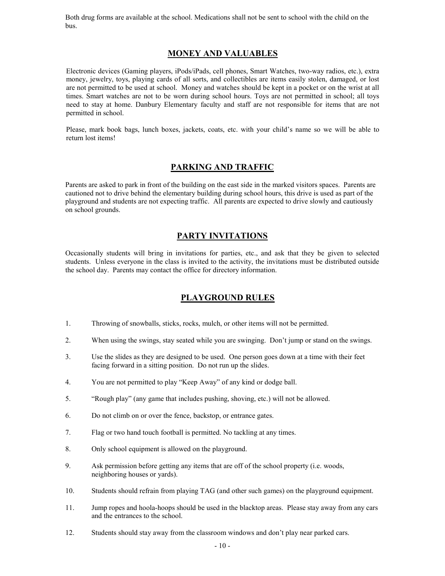Both drug forms are available at the school. Medications shall not be sent to school with the child on the bus.

## **MONEY AND VALUABLES**

Electronic devices (Gaming players, iPods/iPads, cell phones, Smart Watches, two-way radios, etc.), extra money, jewelry, toys, playing cards of all sorts, and collectibles are items easily stolen, damaged, or lost are not permitted to be used at school. Money and watches should be kept in a pocket or on the wrist at all times. Smart watches are not to be worn during school hours. Toys are not permitted in school; all toys need to stay at home. Danbury Elementary faculty and staff are not responsible for items that are not permitted in school.

Please, mark book bags, lunch boxes, jackets, coats, etc. with your child's name so we will be able to return lost items!

## **PARKING AND TRAFFIC**

Parents are asked to park in front of the building on the east side in the marked visitors spaces. Parents are cautioned not to drive behind the elementary building during school hours, this drive is used as part of the playground and students are not expecting traffic. All parents are expected to drive slowly and cautiously on school grounds.

## **PARTY INVITATIONS**

Occasionally students will bring in invitations for parties, etc., and ask that they be given to selected students. Unless everyone in the class is invited to the activity, the invitations must be distributed outside the school day. Parents may contact the office for directory information.

## **PLAYGROUND RULES**

- 1. Throwing of snowballs, sticks, rocks, mulch, or other items will not be permitted.
- 2. When using the swings, stay seated while you are swinging. Don't jump or stand on the swings.
- 3. Use the slides as they are designed to be used. One person goes down at a time with their feet facing forward in a sitting position. Do not run up the slides.
- 4. You are not permitted to play "Keep Away" of any kind or dodge ball.
- 5. "Rough play" (any game that includes pushing, shoving, etc.) will not be allowed.
- 6. Do not climb on or over the fence, backstop, or entrance gates.
- 7. Flag or two hand touch football is permitted. No tackling at any times.
- 8. Only school equipment is allowed on the playground.
- 9. Ask permission before getting any items that are off of the school property (i.e. woods, neighboring houses or yards).
- 10. Students should refrain from playing TAG (and other such games) on the playground equipment.
- 11. Jump ropes and hoola-hoops should be used in the blacktop areas. Please stay away from any cars and the entrances to the school.
- 12. Students should stay away from the classroom windows and don't play near parked cars.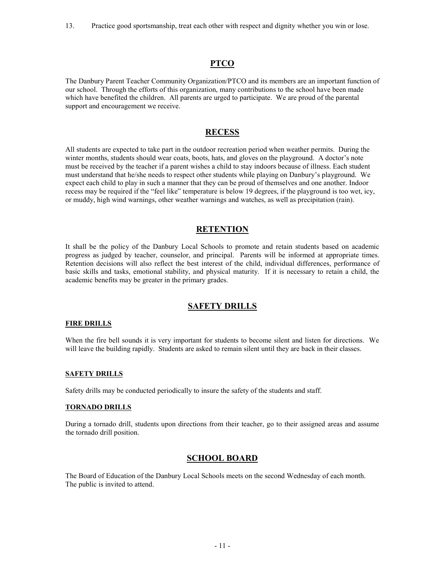13. Practice good sportsmanship, treat each other with respect and dignity whether you win or lose.

## **PTCO**

The Danbury Parent Teacher Community Organization/PTCO and its members are an important function of our school. Through the efforts of this organization, many contributions to the school have been made which have benefited the children. All parents are urged to participate. We are proud of the parental support and encouragement we receive.

## **RECESS**

All students are expected to take part in the outdoor recreation period when weather permits. During the winter months, students should wear coats, boots, hats, and gloves on the playground. A doctor's note must be received by the teacher if a parent wishes a child to stay indoors because of illness. Each student must understand that he/she needs to respect other students while playing on Danbury's playground. We expect each child to play in such a manner that they can be proud of themselves and one another. Indoor recess may be required if the "feel like" temperature is below 19 degrees, if the playground is too wet, icy, or muddy, high wind warnings, other weather warnings and watches, as well as precipitation (rain).

## **RETENTION**

It shall be the policy of the Danbury Local Schools to promote and retain students based on academic progress as judged by teacher, counselor, and principal. Parents will be informed at appropriate times. Retention decisions will also reflect the best interest of the child, individual differences, performance of basic skills and tasks, emotional stability, and physical maturity. If it is necessary to retain a child, the academic benefits may be greater in the primary grades.

## **SAFETY DRILLS**

#### **FIRE DRILLS**

When the fire bell sounds it is very important for students to become silent and listen for directions. We will leave the building rapidly. Students are asked to remain silent until they are back in their classes.

#### **SAFETY DRILLS**

Safety drills may be conducted periodically to insure the safety of the students and staff.

#### **TORNADO DRILLS**

During a tornado drill, students upon directions from their teacher, go to their assigned areas and assume the tornado drill position.

## **SCHOOL BOARD**

The Board of Education of the Danbury Local Schools meets on the second Wednesday of each month. The public is invited to attend.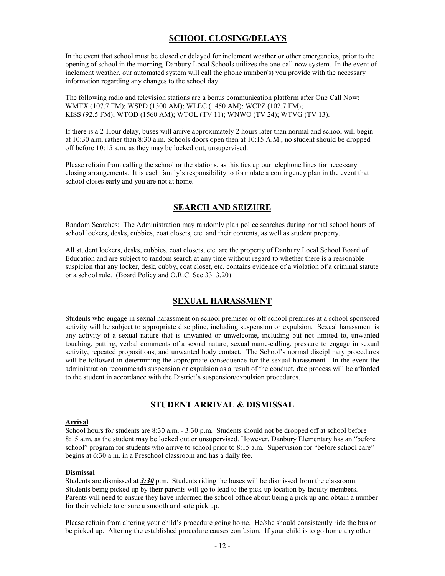## **SCHOOL CLOSING/DELAYS**

In the event that school must be closed or delayed for inclement weather or other emergencies, prior to the opening of school in the morning, Danbury Local Schools utilizes the one-call now system. In the event of inclement weather, our automated system will call the phone number(s) you provide with the necessary information regarding any changes to the school day.

The following radio and television stations are a bonus communication platform after One Call Now: WMTX (107.7 FM); WSPD (1300 AM); WLEC (1450 AM); WCPZ (102.7 FM); KISS (92.5 FM); WTOD (1560 AM); WTOL (TV 11); WNWO (TV 24); WTVG (TV 13).

If there is a 2-Hour delay, buses will arrive approximately 2 hours later than normal and school will begin at 10:30 a.m. rather than 8:30 a.m. Schools doors open then at 10:15 A.M., no student should be dropped off before 10:15 a.m. as they may be locked out, unsupervised.

Please refrain from calling the school or the stations, as this ties up our telephone lines for necessary closing arrangements. It is each family's responsibility to formulate a contingency plan in the event that school closes early and you are not at home.

## **SEARCH AND SEIZURE**

Random Searches: The Administration may randomly plan police searches during normal school hours of school lockers, desks, cubbies, coat closets, etc. and their contents, as well as student property.

All student lockers, desks, cubbies, coat closets, etc. are the property of Danbury Local School Board of Education and are subject to random search at any time without regard to whether there is a reasonable suspicion that any locker, desk, cubby, coat closet, etc. contains evidence of a violation of a criminal statute or a school rule. (Board Policy and O.R.C. Sec 3313.20)

## **SEXUAL HARASSMENT**

Students who engage in sexual harassment on school premises or off school premises at a school sponsored activity will be subject to appropriate discipline, including suspension or expulsion. Sexual harassment is any activity of a sexual nature that is unwanted or unwelcome, including but not limited to, unwanted touching, patting, verbal comments of a sexual nature, sexual name-calling, pressure to engage in sexual activity, repeated propositions, and unwanted body contact. The School's normal disciplinary procedures will be followed in determining the appropriate consequence for the sexual harassment. In the event the administration recommends suspension or expulsion as a result of the conduct, due process will be afforded to the student in accordance with the District's suspension/expulsion procedures.

## **STUDENT ARRIVAL & DISMISSAL**

#### **Arrival**

School hours for students are 8:30 a.m. - 3:30 p.m. Students should not be dropped off at school before 8:15 a.m. as the student may be locked out or unsupervised. However, Danbury Elementary has an "before school" program for students who arrive to school prior to 8:15 a.m. Supervision for "before school care" begins at 6:30 a.m. in a Preschool classroom and has a daily fee.

#### **Dismissal**

Students are dismissed at *3:30* p.m. Students riding the buses will be dismissed from the classroom. Students being picked up by their parents will go to lead to the pick-up location by faculty members. Parents will need to ensure they have informed the school office about being a pick up and obtain a number for their vehicle to ensure a smooth and safe pick up.

Please refrain from altering your child's procedure going home. He/she should consistently ride the bus or be picked up. Altering the established procedure causes confusion. If your child is to go home any other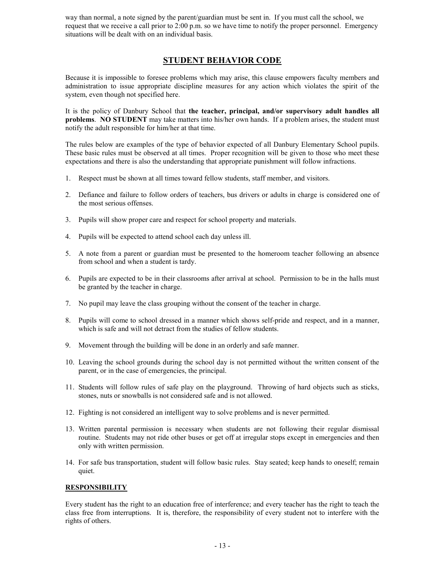way than normal, a note signed by the parent/guardian must be sent in. If you must call the school, we request that we receive a call prior to 2:00 p.m. so we have time to notify the proper personnel. Emergency situations will be dealt with on an individual basis.

## **STUDENT BEHAVIOR CODE**

Because it is impossible to foresee problems which may arise, this clause empowers faculty members and administration to issue appropriate discipline measures for any action which violates the spirit of the system, even though not specified here.

It is the policy of Danbury School that **the teacher, principal, and/or supervisory adult handles all problems**. **NO STUDENT** may take matters into his/her own hands. If a problem arises, the student must notify the adult responsible for him/her at that time.

The rules below are examples of the type of behavior expected of all Danbury Elementary School pupils. These basic rules must be observed at all times. Proper recognition will be given to those who meet these expectations and there is also the understanding that appropriate punishment will follow infractions.

- 1. Respect must be shown at all times toward fellow students, staff member, and visitors.
- 2. Defiance and failure to follow orders of teachers, bus drivers or adults in charge is considered one of the most serious offenses.
- 3. Pupils will show proper care and respect for school property and materials.
- 4. Pupils will be expected to attend school each day unless ill.
- 5. A note from a parent or guardian must be presented to the homeroom teacher following an absence from school and when a student is tardy.
- 6. Pupils are expected to be in their classrooms after arrival at school. Permission to be in the halls must be granted by the teacher in charge.
- 7. No pupil may leave the class grouping without the consent of the teacher in charge.
- 8. Pupils will come to school dressed in a manner which shows self-pride and respect, and in a manner, which is safe and will not detract from the studies of fellow students.
- 9. Movement through the building will be done in an orderly and safe manner.
- 10. Leaving the school grounds during the school day is not permitted without the written consent of the parent, or in the case of emergencies, the principal.
- 11. Students will follow rules of safe play on the playground. Throwing of hard objects such as sticks, stones, nuts or snowballs is not considered safe and is not allowed.
- 12. Fighting is not considered an intelligent way to solve problems and is never permitted.
- 13. Written parental permission is necessary when students are not following their regular dismissal routine. Students may not ride other buses or get off at irregular stops except in emergencies and then only with written permission.
- 14. For safe bus transportation, student will follow basic rules. Stay seated; keep hands to oneself; remain quiet.

#### **RESPONSIBILITY**

Every student has the right to an education free of interference; and every teacher has the right to teach the class free from interruptions. It is, therefore, the responsibility of every student not to interfere with the rights of others.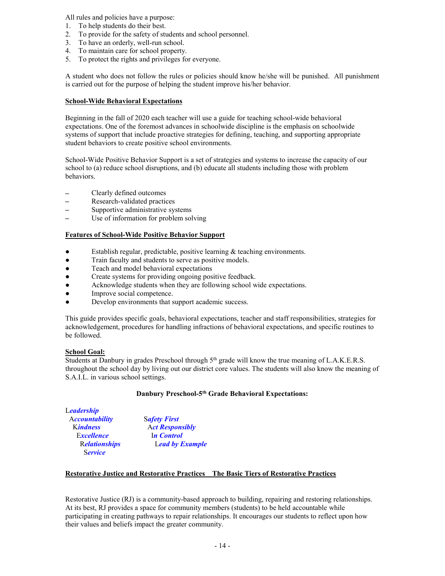All rules and policies have a purpose:

- 1. To help students do their best.
- 2. To provide for the safety of students and school personnel.
- 3. To have an orderly, well-run school.
- 4. To maintain care for school property.
- 5. To protect the rights and privileges for everyone.

A student who does not follow the rules or policies should know he/she will be punished. All punishment is carried out for the purpose of helping the student improve his/her behavior.

#### **School-Wide Behavioral Expectations**

Beginning in the fall of 2020 each teacher will use a guide for teaching school-wide behavioral expectations. One of the foremost advances in schoolwide discipline is the emphasis on schoolwide systems of support that include proactive strategies for defining, teaching, and supporting appropriate student behaviors to create positive school environments.

School-Wide Positive Behavior Support is a set of strategies and systems to increase the capacity of our school to (a) reduce school disruptions, and (b) educate all students including those with problem behaviors.

- Clearly defined outcomes<br>- Research-validated practic
- Research-validated practices<br>- Supportive administrative sys-
- Supportive administrative systems<br>- Use of information for problem sol
- Use of information for problem solving

#### **Features of School-Wide Positive Behavior Support**

- Establish regular, predictable, positive learning & teaching environments.
- Train faculty and students to serve as positive models.
- Teach and model behavioral expectations
- Create systems for providing ongoing positive feedback.
- Acknowledge students when they are following school wide expectations.
- Improve social competence.
- Develop environments that support academic success.

This guide provides specific goals, behavioral expectations, teacher and staff responsibilities, strategies for acknowledgement, procedures for handling infractions of behavioral expectations, and specific routines to be followed.

#### **School Goal:**

Students at Danbury in grades Preschool through  $5<sup>th</sup>$  grade will know the true meaning of L.A.K.E.R.S. throughout the school day by living out our district core values. The students will also know the meaning of S.A.I.L. in various school settings.

#### **Danbury Preschool-5th Grade Behavioral Expectations:**

| Leadership            |                        |
|-----------------------|------------------------|
| <b>Accountability</b> | <b>Safety First</b>    |
| <b>Kindness</b>       | <b>Act Responsibly</b> |
| <b>Excellence</b>     | In Control             |
| <b>Relationships</b>  | <b>Lead by Example</b> |
| <b>Service</b>        |                        |

#### **Restorative Justice and Restorative Practices The Basic Tiers of Restorative Practices**

Restorative Justice (RJ) is a community-based approach to building, repairing and restoring relationships. At its best, RJ provides a space for community members (students) to be held accountable while participating in creating pathways to repair relationships. It encourages our students to reflect upon how their values and beliefs impact the greater community.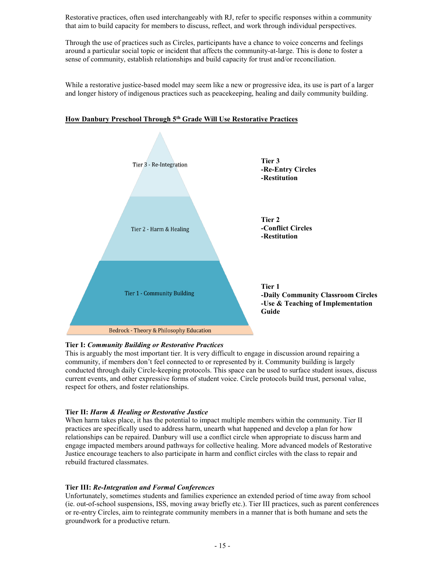Restorative practices, often used interchangeably with RJ, refer to specific responses within a community that aim to build capacity for members to discuss, reflect, and work through individual perspectives.

Through the use of practices such as Circles, participants have a chance to voice concerns and feelings around a particular social topic or incident that affects the community-at-large. This is done to foster a sense of community, establish relationships and build capacity for trust and/or reconciliation.

While a restorative justice-based model may seem like a new or progressive idea, its use is part of a larger and longer history of indigenous practices such as peacekeeping, healing and daily community building.



#### **How Danbury Preschool Through 5th Grade Will Use Restorative Practices**

#### **Tier I:** *Community Building or Restorative Practices*

This is arguably the most important tier. It is very difficult to engage in discussion around repairing a community, if members don't feel connected to or represented by it. Community building is largely conducted through daily Circle-keeping protocols. This space can be used to surface student issues, discuss current events, and other expressive forms of student voice. Circle protocols build trust, personal value, respect for others, and foster relationships.

#### **Tier II:** *Harm & Healing or Restorative Justice*

When harm takes place, it has the potential to impact multiple members within the community. Tier II practices are specifically used to address harm, unearth what happened and develop a plan for how relationships can be repaired. Danbury will use a conflict circle when appropriate to discuss harm and engage impacted members around pathways for collective healing. More advanced models of Restorative Justice encourage teachers to also participate in harm and conflict circles with the class to repair and rebuild fractured classmates.

#### **Tier III:** *Re-Integration and Formal Conferences*

Unfortunately, sometimes students and families experience an extended period of time away from school (ie. out-of-school suspensions, ISS, moving away briefly etc.). Tier III practices, such as parent conferences or [re-entry Circles,](https://drive.google.com/file/d/0B1jx3bbBvQH2R3B4WkFXVV8yZ00/view?usp=sharing) aim to reintegrate community members in a manner that is both humane and sets the groundwork for a productive return.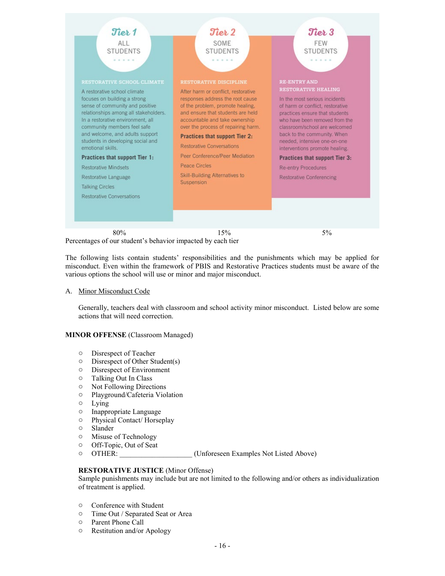

Percentages of our student's behavior impacted by each tier

The following lists contain students' responsibilities and the punishments which may be applied for misconduct. Even within the framework of PBIS and Restorative Practices students must be aware of the various options the school will use or minor and major misconduct.

#### A. Minor Misconduct Code

Generally, teachers deal with classroom and school activity minor misconduct. Listed below are some actions that will need correction.

#### **MINOR OFFENSE** (Classroom Managed)

- o Disrespect of Teacher
- o Disrespect of Other Student(s)
- o Disrespect of Environment
- o Talking Out In Class
- o Not Following Directions
- o Playground/Cafeteria Violation
- o Lying
- o Inappropriate Language
- o Physical Contact/ Horseplay
- o Slander
- o Misuse of Technology
- o Off-Topic, Out of Seat
- o OTHER: \_\_\_\_\_\_\_\_\_\_\_\_\_\_\_\_\_\_\_\_ (Unforeseen Examples Not Listed Above)

#### **RESTORATIVE JUSTICE** (Minor Offense)

Sample punishments may include but are not limited to the following and/or others as individualization of treatment is applied.

- o Conference with Student
- o Time Out / Separated Seat or Area
- o Parent Phone Call
- o Restitution and/or Apology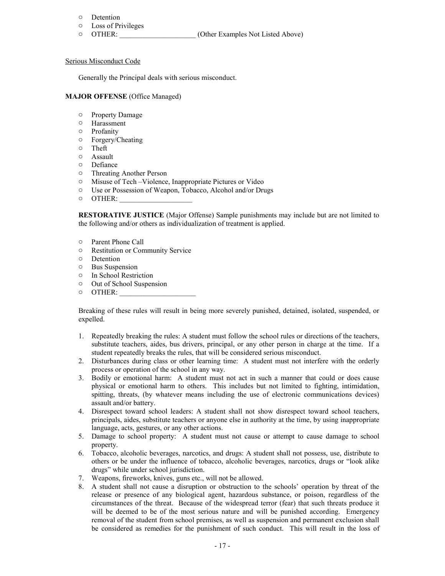## $\circ$  Detention

- Loss of Privileges
- o OTHER: \_\_\_\_\_\_\_\_\_\_\_\_\_\_\_\_\_\_\_\_\_ (Other Examples Not Listed Above)

#### Serious Misconduct Code

Generally the Principal deals with serious misconduct.

#### **MAJOR OFFENSE** (Office Managed)

- o Property Damage
- o Harassment
- o Profanity
- o Forgery/Cheating
- o Theft
- o Assault
- Defiance
- o Threating Another Person
- o Misuse of Tech –Violence, Inappropriate Pictures or Video
- o Use or Possession of Weapon, Tobacco, Alcohol and/or Drugs
- $\circ$  OTHER:

**RESTORATIVE JUSTICE** (Major Offense) Sample punishments may include but are not limited to the following and/or others as individualization of treatment is applied.

- o Parent Phone Call
- o Restitution or Community Service
- o Detention
- o Bus Suspension
- o In School Restriction
- o Out of School Suspension
- $\circ$  OTHER:

Breaking of these rules will result in being more severely punished, detained, isolated, suspended, or expelled.

- 1. Repeatedly breaking the rules: A student must follow the school rules or directions of the teachers, substitute teachers, aides, bus drivers, principal, or any other person in charge at the time. If a student repeatedly breaks the rules, that will be considered serious misconduct.
- 2. Disturbances during class or other learning time: A student must not interfere with the orderly process or operation of the school in any way.
- 3. Bodily or emotional harm: A student must not act in such a manner that could or does cause physical or emotional harm to others. This includes but not limited to fighting, intimidation, spitting, threats, (by whatever means including the use of electronic communications devices) assault and/or battery.
- 4. Disrespect toward school leaders: A student shall not show disrespect toward school teachers, principals, aides, substitute teachers or anyone else in authority at the time, by using inappropriate language, acts, gestures, or any other actions.
- 5. Damage to school property: A student must not cause or attempt to cause damage to school property.
- 6. Tobacco, alcoholic beverages, narcotics, and drugs: A student shall not possess, use, distribute to others or be under the influence of tobacco, alcoholic beverages, narcotics, drugs or "look alike drugs" while under school jurisdiction.
- 7. Weapons, fireworks, knives, guns etc., will not be allowed.
- 8. A student shall not cause a disruption or obstruction to the schools' operation by threat of the release or presence of any biological agent, hazardous substance, or poison, regardless of the circumstances of the threat. Because of the widespread terror (fear) that such threats produce it will be deemed to be of the most serious nature and will be punished according. Emergency removal of the student from school premises, as well as suspension and permanent exclusion shall be considered as remedies for the punishment of such conduct. This will result in the loss of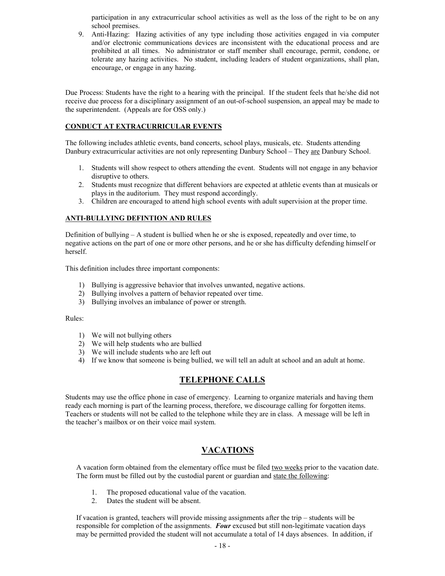participation in any extracurricular school activities as well as the loss of the right to be on any school premises.

9. Anti-Hazing: Hazing activities of any type including those activities engaged in via computer and/or electronic communications devices are inconsistent with the educational process and are prohibited at all times. No administrator or staff member shall encourage, permit, condone, or tolerate any hazing activities. No student, including leaders of student organizations, shall plan, encourage, or engage in any hazing.

Due Process: Students have the right to a hearing with the principal. If the student feels that he/she did not receive due process for a disciplinary assignment of an out-of-school suspension, an appeal may be made to the superintendent. (Appeals are for OSS only.)

#### **CONDUCT AT EXTRACURRICULAR EVENTS**

The following includes athletic events, band concerts, school plays, musicals, etc. Students attending Danbury extracurricular activities are not only representing Danbury School – They are Danbury School.

- 1. Students will show respect to others attending the event. Students will not engage in any behavior disruptive to others.
- 2. Students must recognize that different behaviors are expected at athletic events than at musicals or plays in the auditorium. They must respond accordingly.
- 3. Children are encouraged to attend high school events with adult supervision at the proper time.

#### **ANTI-BULLYING DEFINTION AND RULES**

Definition of bullying  $-A$  student is bullied when he or she is exposed, repeatedly and over time, to negative actions on the part of one or more other persons, and he or she has difficulty defending himself or herself.

This definition includes three important components:

- 1) Bullying is aggressive behavior that involves unwanted, negative actions.
- 2) Bullying involves a pattern of behavior repeated over time.
- 3) Bullying involves an imbalance of power or strength.

#### Rules:

- 1) We will not bullying others
- 2) We will help students who are bullied
- 3) We will include students who are left out
- 4) If we know that someone is being bullied, we will tell an adult at school and an adult at home.

## **TELEPHONE CALLS**

Students may use the office phone in case of emergency. Learning to organize materials and having them ready each morning is part of the learning process, therefore, we discourage calling for forgotten items. Teachers or students will not be called to the telephone while they are in class. A message will be left in the teacher's mailbox or on their voice mail system.

## **VACATIONS**

A vacation form obtained from the elementary office must be filed two weeks prior to the vacation date. The form must be filled out by the custodial parent or guardian and state the following:

- 1. The proposed educational value of the vacation.
- 2. Dates the student will be absent.

If vacation is granted, teachers will provide missing assignments after the trip – students will be responsible for completion of the assignments. *Four* excused but still non-legitimate vacation days may be permitted provided the student will not accumulate a total of 14 days absences. In addition, if